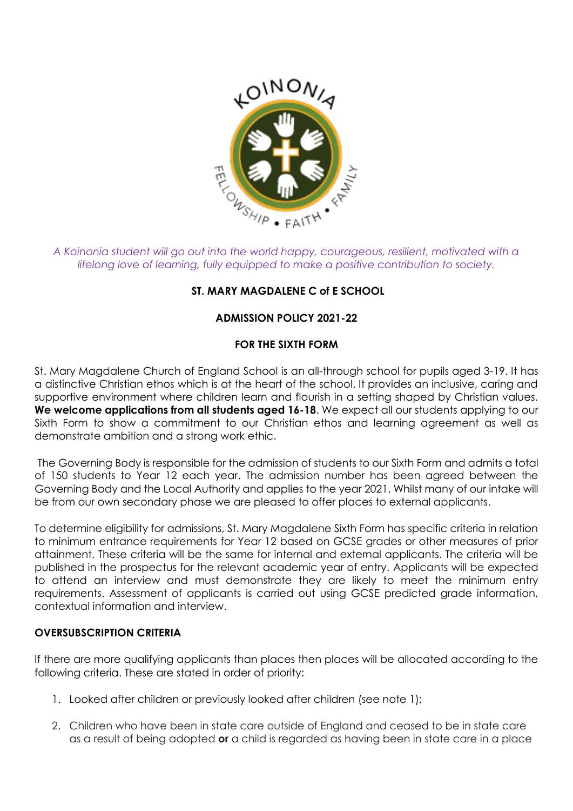

*A Koinonia student will go out into the world happy, courageous, resilient, motivated with a lifelong love of learning, fully equipped to make a positive contribution to society.* 

# **ST. MARY MAGDALENE C of E SCHOOL**

# **ADMISSION POLICY 2021-22**

# **FOR THE SIXTH FORM**

St. Mary Magdalene Church of England School is an all-through school for pupils aged 3-19. It has a distinctive Christian ethos which is at the heart of the school. It provides an inclusive, caring and supportive environment where children learn and flourish in a setting shaped by Christian values. We welcome applications from all students aged 16-18. We expect all our students applying to our Sixth Form to show a commitment to our Christian ethos and learning agreement as well as demonstrate ambition and a strong work ethic.

The Governing Body is responsible for the admission of students to our Sixth Form and admits a total of 150 students to Year 12 each year. The admission number has been agreed between the Governing Body and the Local Authority and applies to the year 2021. Whilst many of our intake will be from our own secondary phase we are pleased to offer places to external applicants.

To determine eligibility for admissions, St. Mary Magdalene Sixth Form has specific criteria in relation to minimum entrance requirements for Year 12 based on GCSE grades or other measures of prior attainment. These criteria will be the same for internal and external applicants. The criteria will be published in the prospectus for the relevant academic year of entry. Applicants will be expected to attend an interview and must demonstrate they are likely to meet the minimum entry requirements. Assessment of applicants is carried out using GCSE predicted grade information, contextual information and interview.

## **OVERSUBSCRIPTION CRITERIA**

If there are more qualifying applicants than places then places will be allocated according to the following criteria. These are stated in order of priority:

- 1. Looked after children or previously looked after children (see note 1);
- 2. Children who have been in state care outside of England and ceased to be in state care as a result of being adopted **or** a child is regarded as having been in state care in a place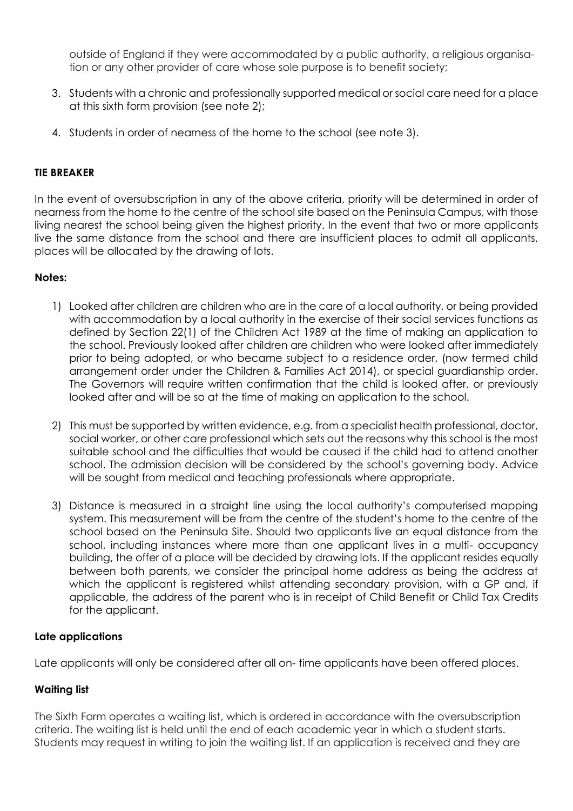outside of England if they were accommodated by a public authority, a religious organisation or any other provider of care whose sole purpose is to benefit society;

- 3. Students with a chronic and professionally supported medical or social care need for a place at this sixth form provision (see note 2);
- 4. Students in order of nearness of the home to the school (see note 3).

## **TIE BREAKER**

In the event of oversubscription in any of the above criteria, priority will be determined in order of nearness from the home to the centre of the school site based on the Peninsula Campus, with those living nearest the school being given the highest priority. In the event that two or more applicants live the same distance from the school and there are insufficient places to admit all applicants, places will be allocated by the drawing of lots.

## **Notes:**

- 1) Looked after children are children who are in the care of a local authority, or being provided with accommodation by a local authority in the exercise of their social services functions as defined by Section 22(1) of the Children Act 1989 at the time of making an application to the school. Previously looked after children are children who were looked after immediately prior to being adopted, or who became subject to a residence order, (now termed child arrangement order under the Children & Families Act 2014), or special guardianship order. The Governors will require written confirmation that the child is looked after, or previously looked after and will be so at the time of making an application to the school.
- 2) This must be supported by written evidence, e.g. from a specialist health professional, doctor, social worker, or other care professional which sets out the reasons why this school is the most suitable school and the difficulties that would be caused if the child had to attend another school. The admission decision will be considered by the school's governing body. Advice will be sought from medical and teaching professionals where appropriate.
- 3) Distance is measured in a straight line using the local authority's computerised mapping system. This measurement will be from the centre of the student's home to the centre of the school based on the Peninsula Site. Should two applicants live an equal distance from the school, including instances where more than one applicant lives in a multi- occupancy building, the offer of a place will be decided by drawing lots. If the applicant resides equally between both parents, we consider the principal home address as being the address at which the applicant is registered whilst attending secondary provision, with a GP and, if applicable, the address of the parent who is in receipt of Child Benefit or Child Tax Credits for the applicant.

## **Late applications**

Late applicants will only be considered after all on- time applicants have been offered places.

## **Waiting list**

The Sixth Form operates a waiting list, which is ordered in accordance with the oversubscription criteria. The waiting list is held until the end of each academic year in which a student starts. Students may request in writing to join the waiting list. If an application is received and they are